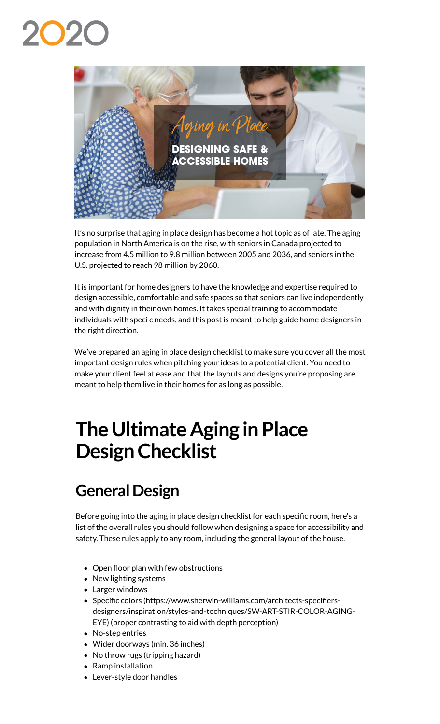

It's no surprise that aging in place design has become a hot topic as of late. The aging population in North America is on the rise, with seniors in Canada projected to increase from 4.5 million to 9.8 million between 2005 and 2036, and seniors in the U.S. projected to reach 98 million by 2060.

It is important for home designers to have the knowledge and expertise required to design accessible, comfortable and safe spaces so that seniors can live independently and with dignity in their own homes. It takes special training to accommodate individuals with speci c needs, and this post is meant to help guide home designers in the right direction.

We've prepared an aging in place design checklist to make sure you cover all the most important design rules when pitching your ideas to a potential client. You need to make your client feel at ease and that the layouts and designs you're proposing are meant to help them live in their homes for as long as possible.

# **The Ultimate Aging in Place Design Checklist**

## **General Design**

Before going into the aging in place design checklist for each specific room, here's a list of the overall rules you should follow when designing a space for accessibility and safety. These rules apply to any room, including the general layout of the house.

- $\bullet$  Open floor plan with few obstructions
- New lighting systems
- Larger windows
- Specific colors (https://www.sherwin-williams.com/architects-specifiersdesigners/inspiration/styles-and-techniques/SW-ART-STIR-COLOR-AGING-EYE) (proper contrasting to aid with depth perception)
- No-step entries
- Wider doorways (min. 36 inches)
- No throw rugs (tripping hazard)
- Ramp installation
- Lever-style door handles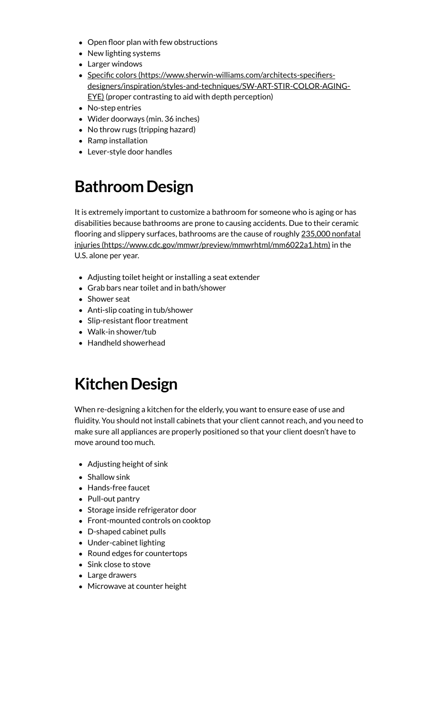- Open floor plan with few obstructions
- New lighting systems
- Larger windows
- Specific colors (https://www.sherwin-williams.com/architects-specifiers[designers/inspiration/styles-and-techniques/SW-ART-STIR-COLOR-AGING-](https://info.2020spaces.com/l/70282/2019-07-23/86lq5j)EYE) (proper contrasting to aid with depth perception)
- No-step entries
- Wider doorways (min. 36 inches)
- No throw rugs (tripping hazard)
- Ramp installation
- Lever-style door handles

#### **Bathroom Design**

It is extremely important to customize a bathroom for someone who is aging or has disabilities because bathrooms are prone to causing accidents. Due to their ceramic flooring and slippery surfaces, bathrooms are the cause of roughly 235,000 nonfatal injuries (https://www.cdc.gov/mmwr/preview/mmwrhtml/mm6022a1.htm) in the U.S. alone per year.

- Adjusting toilet height or installing a seat extender
- Grab bars near toilet and in bath/shower
- Shower seat
- Anti-slip coating in tub/shower
- Slip-resistant floor treatment
- Walk-in shower/tub
- Handheld showerhead

#### **Kitchen Design**

When re-designing a kitchen for the elderly, you want to ensure ease of use and fluidity. You should not install cabinets that your client cannot reach, and you need to make sure all appliances are properly positioned so that your client doesn't have to move around too much.

- Adjusting height of sink
- Shallow sink
- [Hands-free faucet](https://www.cdc.gov/mmwr/preview/mmwrhtml/mm6022a1.htm)
- Pull-out pantry
- Storage inside refrigerator door
- Front-mounted controls on cooktop
- D-shaped cabinet pulls
- Under-cabinet lighting
- Round edges for countertops
- Sink close to stove
- Large drawers
- Microwave at counter height